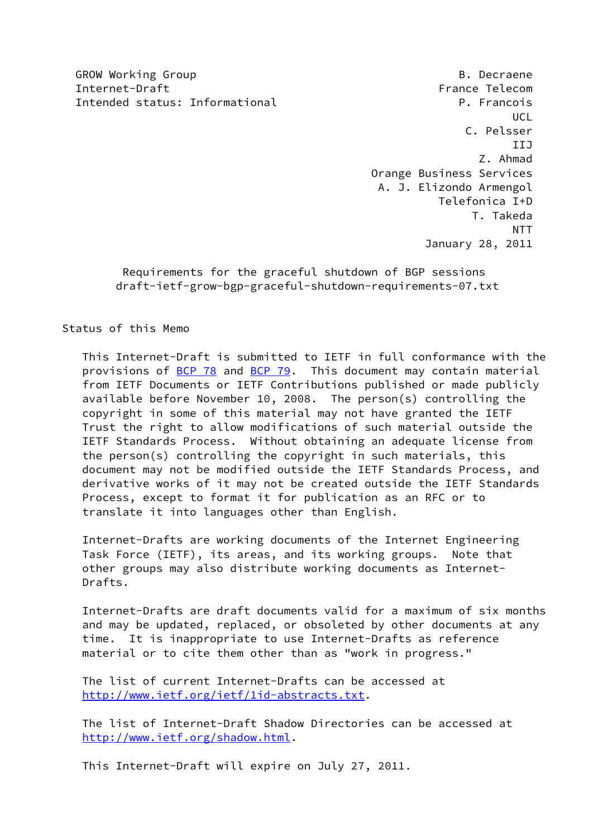GROW Working Group **B. Decraene** Internet-Draft France Telecom Intended status: Informational P. Francois

 UCL C. Pelsser IIJ Z. Ahmad Orange Business Services A. J. Elizondo Armengol Telefonica I+D T. Takeda NTT January 28, 2011

> Requirements for the graceful shutdown of BGP sessions draft-ietf-grow-bgp-graceful-shutdown-requirements-07.txt

Status of this Memo

 This Internet-Draft is submitted to IETF in full conformance with the provisions of [BCP 78](https://datatracker.ietf.org/doc/pdf/bcp78) and [BCP 79](https://datatracker.ietf.org/doc/pdf/bcp79). This document may contain material from IETF Documents or IETF Contributions published or made publicly available before November 10, 2008. The person(s) controlling the copyright in some of this material may not have granted the IETF Trust the right to allow modifications of such material outside the IETF Standards Process. Without obtaining an adequate license from the person(s) controlling the copyright in such materials, this document may not be modified outside the IETF Standards Process, and derivative works of it may not be created outside the IETF Standards Process, except to format it for publication as an RFC or to translate it into languages other than English.

 Internet-Drafts are working documents of the Internet Engineering Task Force (IETF), its areas, and its working groups. Note that other groups may also distribute working documents as Internet- Drafts.

 Internet-Drafts are draft documents valid for a maximum of six months and may be updated, replaced, or obsoleted by other documents at any time. It is inappropriate to use Internet-Drafts as reference material or to cite them other than as "work in progress."

 The list of current Internet-Drafts can be accessed at <http://www.ietf.org/ietf/1id-abstracts.txt>.

 The list of Internet-Draft Shadow Directories can be accessed at <http://www.ietf.org/shadow.html>.

This Internet-Draft will expire on July 27, 2011.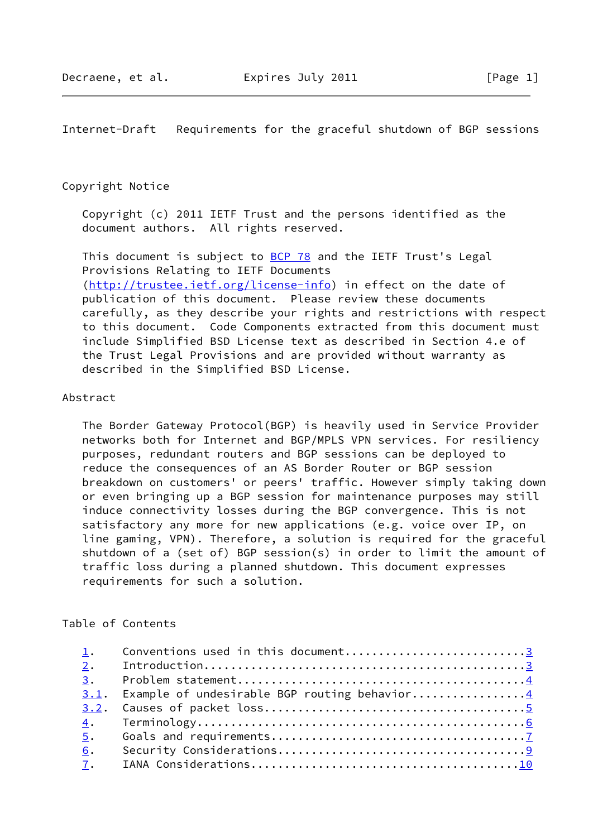Internet-Draft Requirements for the graceful shutdown of BGP sessions

#### Copyright Notice

 Copyright (c) 2011 IETF Trust and the persons identified as the document authors. All rights reserved.

This document is subject to **[BCP 78](https://datatracker.ietf.org/doc/pdf/bcp78)** and the IETF Trust's Legal Provisions Relating to IETF Documents [\(http://trustee.ietf.org/license-info](http://trustee.ietf.org/license-info)) in effect on the date of publication of this document. Please review these documents carefully, as they describe your rights and restrictions with respect to this document. Code Components extracted from this document must include Simplified BSD License text as described in Section 4.e of the Trust Legal Provisions and are provided without warranty as described in the Simplified BSD License.

# Abstract

 The Border Gateway Protocol(BGP) is heavily used in Service Provider networks both for Internet and BGP/MPLS VPN services. For resiliency purposes, redundant routers and BGP sessions can be deployed to reduce the consequences of an AS Border Router or BGP session breakdown on customers' or peers' traffic. However simply taking down or even bringing up a BGP session for maintenance purposes may still induce connectivity losses during the BGP convergence. This is not satisfactory any more for new applications (e.g. voice over IP, on line gaming, VPN). Therefore, a solution is required for the graceful shutdown of a (set of) BGP session(s) in order to limit the amount of traffic loss during a planned shutdown. This document expresses requirements for such a solution.

### Table of Contents

| 1. | Conventions used in this document3                |  |
|----|---------------------------------------------------|--|
|    |                                                   |  |
|    |                                                   |  |
|    | 3.1. Example of undesirable BGP routing behavior4 |  |
|    |                                                   |  |
|    |                                                   |  |
| 5. |                                                   |  |
| 6. |                                                   |  |
|    |                                                   |  |
|    |                                                   |  |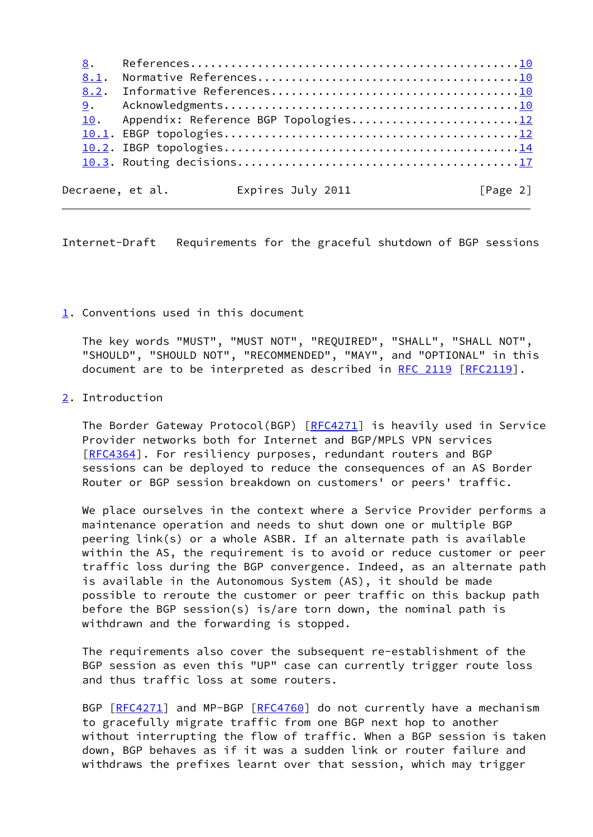[8](#page-10-2). References................................................[.10](#page-10-1) [8.1](#page-10-3). Normative References......................................[.10](#page-10-1) [8.2](#page-10-4). Informative References....................................[.10](#page-10-1) [9](#page-11-0). Acknowledgments...........................................[.10](#page-10-1) [10](#page-12-0). Appendix: Reference BGP Topologies...........................[.12](#page-12-1) [10.1](#page-12-2). EBGP topologies...........................................[.12](#page-12-1) [10.2](#page-15-0). IBGP topologies...........................................[.14](#page-14-0) [10.3](#page-19-0). Routing decisions.........................................[.17](#page-18-0) Decraene, et al. Expires July 2011 [Page 2]

<span id="page-2-1"></span>Internet-Draft Requirements for the graceful shutdown of BGP sessions

### <span id="page-2-0"></span>[1](#page-2-0). Conventions used in this document

 The key words "MUST", "MUST NOT", "REQUIRED", "SHALL", "SHALL NOT", "SHOULD", "SHOULD NOT", "RECOMMENDED", "MAY", and "OPTIONAL" in this document are to be interpreted as described in [RFC 2119 \[RFC2119](https://datatracker.ietf.org/doc/pdf/rfc2119)].

# <span id="page-2-2"></span>[2](#page-2-2). Introduction

 The Border Gateway Protocol(BGP) [\[RFC4271](https://datatracker.ietf.org/doc/pdf/rfc4271)] is heavily used in Service Provider networks both for Internet and BGP/MPLS VPN services [\[RFC4364](https://datatracker.ietf.org/doc/pdf/rfc4364)]. For resiliency purposes, redundant routers and BGP sessions can be deployed to reduce the consequences of an AS Border Router or BGP session breakdown on customers' or peers' traffic.

 We place ourselves in the context where a Service Provider performs a maintenance operation and needs to shut down one or multiple BGP peering link(s) or a whole ASBR. If an alternate path is available within the AS, the requirement is to avoid or reduce customer or peer traffic loss during the BGP convergence. Indeed, as an alternate path is available in the Autonomous System (AS), it should be made possible to reroute the customer or peer traffic on this backup path before the BGP session(s) is/are torn down, the nominal path is withdrawn and the forwarding is stopped.

 The requirements also cover the subsequent re-establishment of the BGP session as even this "UP" case can currently trigger route loss and thus traffic loss at some routers.

BGP [\[RFC4271](https://datatracker.ietf.org/doc/pdf/rfc4271)] and MP-BGP [\[RFC4760](https://datatracker.ietf.org/doc/pdf/rfc4760)] do not currently have a mechanism to gracefully migrate traffic from one BGP next hop to another without interrupting the flow of traffic. When a BGP session is taken down, BGP behaves as if it was a sudden link or router failure and withdraws the prefixes learnt over that session, which may trigger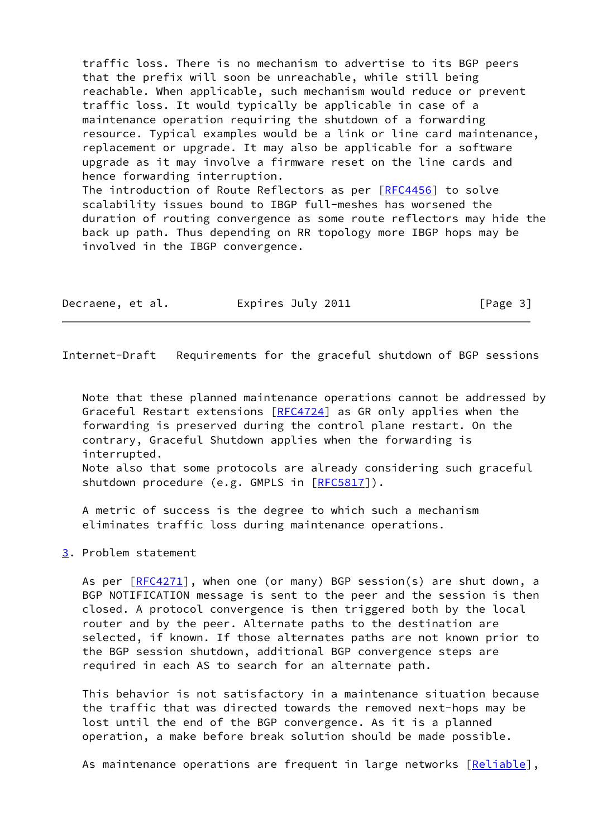traffic loss. There is no mechanism to advertise to its BGP peers that the prefix will soon be unreachable, while still being reachable. When applicable, such mechanism would reduce or prevent traffic loss. It would typically be applicable in case of a maintenance operation requiring the shutdown of a forwarding resource. Typical examples would be a link or line card maintenance, replacement or upgrade. It may also be applicable for a software upgrade as it may involve a firmware reset on the line cards and hence forwarding interruption. The introduction of Route Reflectors as per [\[RFC4456](https://datatracker.ietf.org/doc/pdf/rfc4456)] to solve scalability issues bound to IBGP full-meshes has worsened the duration of routing convergence as some route reflectors may hide the back up path. Thus depending on RR topology more IBGP hops may be

| Decraene, et al. | Expires July 2011 | [Page 3] |
|------------------|-------------------|----------|
|------------------|-------------------|----------|

involved in the IBGP convergence.

<span id="page-3-1"></span>Internet-Draft Requirements for the graceful shutdown of BGP sessions

 Note that these planned maintenance operations cannot be addressed by Graceful Restart extensions [\[RFC4724](https://datatracker.ietf.org/doc/pdf/rfc4724)] as GR only applies when the forwarding is preserved during the control plane restart. On the contrary, Graceful Shutdown applies when the forwarding is interrupted.

 Note also that some protocols are already considering such graceful shutdown procedure (e.g. GMPLS in [[RFC5817](https://datatracker.ietf.org/doc/pdf/rfc5817)]).

 A metric of success is the degree to which such a mechanism eliminates traffic loss during maintenance operations.

<span id="page-3-0"></span>[3](#page-3-0). Problem statement

As per  $[RECA271]$ , when one (or many) BGP session(s) are shut down, a BGP NOTIFICATION message is sent to the peer and the session is then closed. A protocol convergence is then triggered both by the local router and by the peer. Alternate paths to the destination are selected, if known. If those alternates paths are not known prior to the BGP session shutdown, additional BGP convergence steps are required in each AS to search for an alternate path.

 This behavior is not satisfactory in a maintenance situation because the traffic that was directed towards the removed next-hops may be lost until the end of the BGP convergence. As it is a planned operation, a make before break solution should be made possible.

As maintenance operations are frequent in large networks [\[Reliable](#page-11-1)],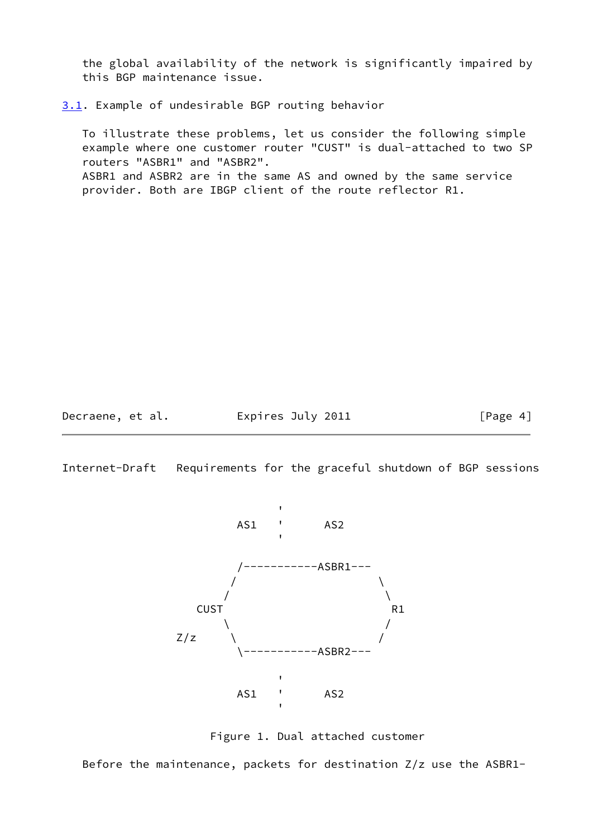the global availability of the network is significantly impaired by this BGP maintenance issue.

<span id="page-4-0"></span>[3.1](#page-4-0). Example of undesirable BGP routing behavior

 To illustrate these problems, let us consider the following simple example where one customer router "CUST" is dual-attached to two SP routers "ASBR1" and "ASBR2". ASBR1 and ASBR2 are in the same AS and owned by the same service provider. Both are IBGP client of the route reflector R1.

Decraene, et al. **Expires July 2011**[Page 4]

<span id="page-4-1"></span>Internet-Draft Requirements for the graceful shutdown of BGP sessions



Figure 1. Dual attached customer

Before the maintenance, packets for destination Z/z use the ASBR1-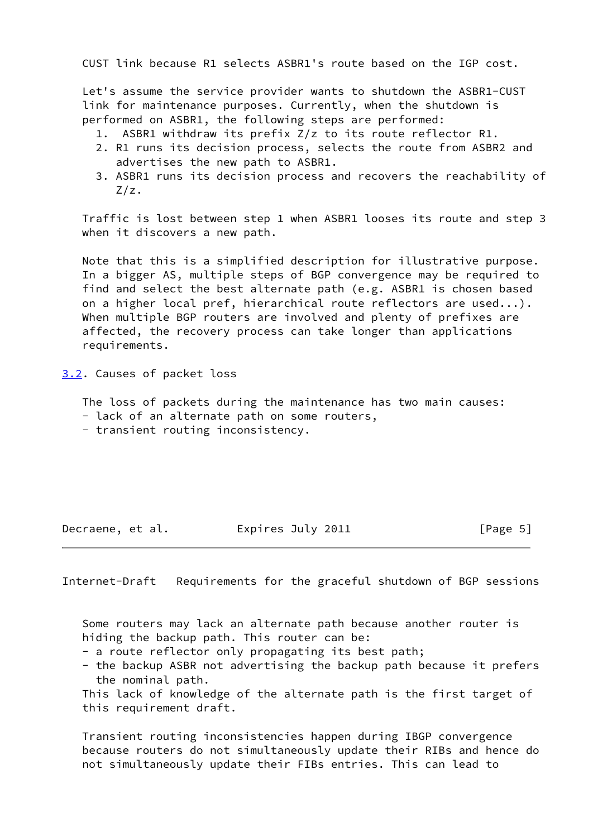CUST link because R1 selects ASBR1's route based on the IGP cost.

 Let's assume the service provider wants to shutdown the ASBR1-CUST link for maintenance purposes. Currently, when the shutdown is performed on ASBR1, the following steps are performed:

- 1. ASBR1 withdraw its prefix Z/z to its route reflector R1.
- 2. R1 runs its decision process, selects the route from ASBR2 and advertises the new path to ASBR1.
- 3. ASBR1 runs its decision process and recovers the reachability of Z/z.

 Traffic is lost between step 1 when ASBR1 looses its route and step 3 when it discovers a new path.

 Note that this is a simplified description for illustrative purpose. In a bigger AS, multiple steps of BGP convergence may be required to find and select the best alternate path (e.g. ASBR1 is chosen based on a higher local pref, hierarchical route reflectors are used...). When multiple BGP routers are involved and plenty of prefixes are affected, the recovery process can take longer than applications requirements.

<span id="page-5-0"></span>[3.2](#page-5-0). Causes of packet loss

The loss of packets during the maintenance has two main causes:

- lack of an alternate path on some routers,
- transient routing inconsistency.

Decraene, et al. **Expires July 2011**  $\begin{bmatrix} \text{Page 5} \end{bmatrix}$ 

<span id="page-5-1"></span>Internet-Draft Requirements for the graceful shutdown of BGP sessions

 Some routers may lack an alternate path because another router is hiding the backup path. This router can be:

- a route reflector only propagating its best path;
- the backup ASBR not advertising the backup path because it prefers the nominal path.

 This lack of knowledge of the alternate path is the first target of this requirement draft.

 Transient routing inconsistencies happen during IBGP convergence because routers do not simultaneously update their RIBs and hence do not simultaneously update their FIBs entries. This can lead to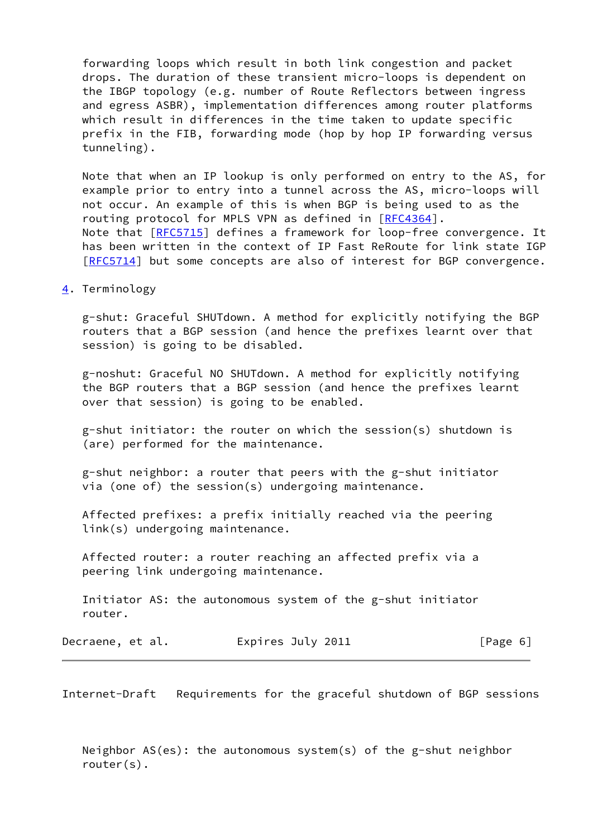forwarding loops which result in both link congestion and packet drops. The duration of these transient micro-loops is dependent on the IBGP topology (e.g. number of Route Reflectors between ingress and egress ASBR), implementation differences among router platforms which result in differences in the time taken to update specific prefix in the FIB, forwarding mode (hop by hop IP forwarding versus tunneling).

 Note that when an IP lookup is only performed on entry to the AS, for example prior to entry into a tunnel across the AS, micro-loops will not occur. An example of this is when BGP is being used to as the routing protocol for MPLS VPN as defined in [\[RFC4364](https://datatracker.ietf.org/doc/pdf/rfc4364)]. Note that [[RFC5715](https://datatracker.ietf.org/doc/pdf/rfc5715)] defines a framework for loop-free convergence. It has been written in the context of IP Fast ReRoute for link state IGP [\[RFC5714](https://datatracker.ietf.org/doc/pdf/rfc5714)] but some concepts are also of interest for BGP convergence.

### <span id="page-6-0"></span>[4](#page-6-0). Terminology

 g-shut: Graceful SHUTdown. A method for explicitly notifying the BGP routers that a BGP session (and hence the prefixes learnt over that session) is going to be disabled.

 g-noshut: Graceful NO SHUTdown. A method for explicitly notifying the BGP routers that a BGP session (and hence the prefixes learnt over that session) is going to be enabled.

 g-shut initiator: the router on which the session(s) shutdown is (are) performed for the maintenance.

 g-shut neighbor: a router that peers with the g-shut initiator via (one of) the session(s) undergoing maintenance.

 Affected prefixes: a prefix initially reached via the peering link(s) undergoing maintenance.

 Affected router: a router reaching an affected prefix via a peering link undergoing maintenance.

 Initiator AS: the autonomous system of the g-shut initiator router.

Decraene, et al. Expires July 2011 [Page 6]

<span id="page-6-1"></span>Internet-Draft Requirements for the graceful shutdown of BGP sessions

 Neighbor AS(es): the autonomous system(s) of the g-shut neighbor router(s).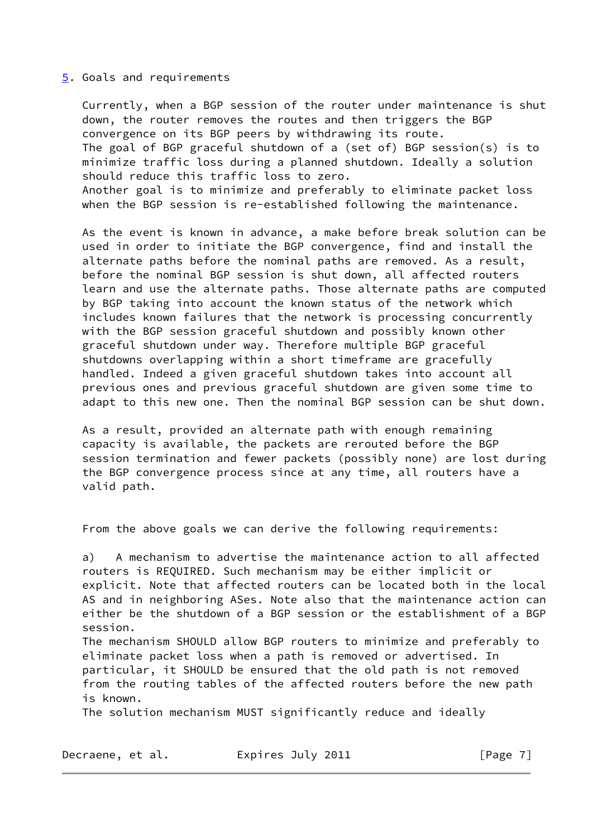#### <span id="page-7-0"></span>[5](#page-7-0). Goals and requirements

 Currently, when a BGP session of the router under maintenance is shut down, the router removes the routes and then triggers the BGP convergence on its BGP peers by withdrawing its route. The goal of BGP graceful shutdown of a (set of) BGP session(s) is to minimize traffic loss during a planned shutdown. Ideally a solution should reduce this traffic loss to zero. Another goal is to minimize and preferably to eliminate packet loss when the BGP session is re-established following the maintenance.

 As the event is known in advance, a make before break solution can be used in order to initiate the BGP convergence, find and install the alternate paths before the nominal paths are removed. As a result, before the nominal BGP session is shut down, all affected routers learn and use the alternate paths. Those alternate paths are computed by BGP taking into account the known status of the network which includes known failures that the network is processing concurrently with the BGP session graceful shutdown and possibly known other graceful shutdown under way. Therefore multiple BGP graceful shutdowns overlapping within a short timeframe are gracefully handled. Indeed a given graceful shutdown takes into account all previous ones and previous graceful shutdown are given some time to adapt to this new one. Then the nominal BGP session can be shut down.

 As a result, provided an alternate path with enough remaining capacity is available, the packets are rerouted before the BGP session termination and fewer packets (possibly none) are lost during the BGP convergence process since at any time, all routers have a valid path.

From the above goals we can derive the following requirements:

 a) A mechanism to advertise the maintenance action to all affected routers is REQUIRED. Such mechanism may be either implicit or explicit. Note that affected routers can be located both in the local AS and in neighboring ASes. Note also that the maintenance action can either be the shutdown of a BGP session or the establishment of a BGP session.

 The mechanism SHOULD allow BGP routers to minimize and preferably to eliminate packet loss when a path is removed or advertised. In particular, it SHOULD be ensured that the old path is not removed from the routing tables of the affected routers before the new path is known.

The solution mechanism MUST significantly reduce and ideally

Decraene, et al. Expires July 2011 [Page 7]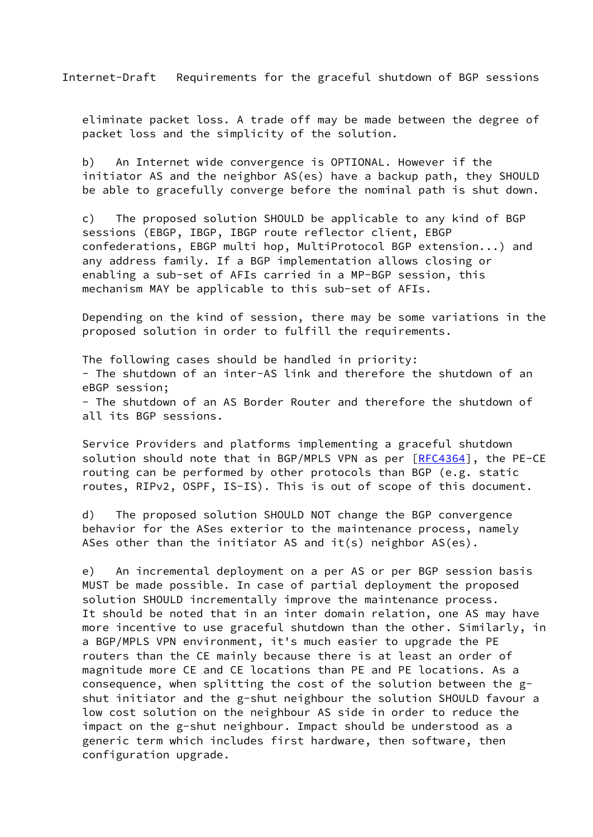Internet-Draft Requirements for the graceful shutdown of BGP sessions

 eliminate packet loss. A trade off may be made between the degree of packet loss and the simplicity of the solution.

 b) An Internet wide convergence is OPTIONAL. However if the initiator AS and the neighbor AS(es) have a backup path, they SHOULD be able to gracefully converge before the nominal path is shut down.

 c) The proposed solution SHOULD be applicable to any kind of BGP sessions (EBGP, IBGP, IBGP route reflector client, EBGP confederations, EBGP multi hop, MultiProtocol BGP extension...) and any address family. If a BGP implementation allows closing or enabling a sub-set of AFIs carried in a MP-BGP session, this mechanism MAY be applicable to this sub-set of AFIs.

 Depending on the kind of session, there may be some variations in the proposed solution in order to fulfill the requirements.

 The following cases should be handled in priority: - The shutdown of an inter-AS link and therefore the shutdown of an eBGP session; - The shutdown of an AS Border Router and therefore the shutdown of all its BGP sessions.

 Service Providers and platforms implementing a graceful shutdown solution should note that in BGP/MPLS VPN as per [\[RFC4364](https://datatracker.ietf.org/doc/pdf/rfc4364)], the PE-CE routing can be performed by other protocols than BGP (e.g. static routes, RIPv2, OSPF, IS-IS). This is out of scope of this document.

 d) The proposed solution SHOULD NOT change the BGP convergence behavior for the ASes exterior to the maintenance process, namely ASes other than the initiator AS and it(s) neighbor  $AS(es)$ .

 e) An incremental deployment on a per AS or per BGP session basis MUST be made possible. In case of partial deployment the proposed solution SHOULD incrementally improve the maintenance process. It should be noted that in an inter domain relation, one AS may have more incentive to use graceful shutdown than the other. Similarly, in a BGP/MPLS VPN environment, it's much easier to upgrade the PE routers than the CE mainly because there is at least an order of magnitude more CE and CE locations than PE and PE locations. As a consequence, when splitting the cost of the solution between the g shut initiator and the g-shut neighbour the solution SHOULD favour a low cost solution on the neighbour AS side in order to reduce the impact on the g-shut neighbour. Impact should be understood as a generic term which includes first hardware, then software, then configuration upgrade.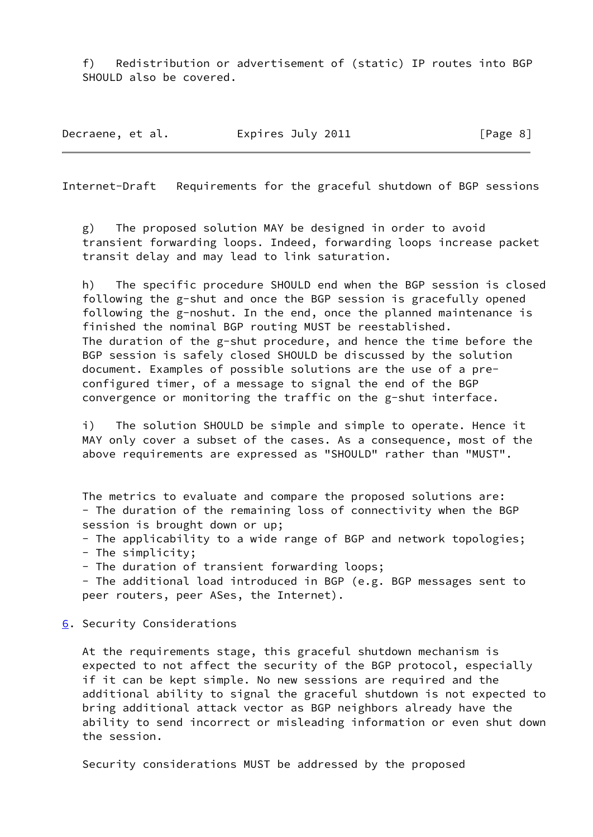f) Redistribution or advertisement of (static) IP routes into BGP SHOULD also be covered.

Decraene, et al. 
Expires July 2011  $[Page 8]$ 

<span id="page-9-1"></span>Internet-Draft Requirements for the graceful shutdown of BGP sessions

 g) The proposed solution MAY be designed in order to avoid transient forwarding loops. Indeed, forwarding loops increase packet transit delay and may lead to link saturation.

 h) The specific procedure SHOULD end when the BGP session is closed following the g-shut and once the BGP session is gracefully opened following the g-noshut. In the end, once the planned maintenance is finished the nominal BGP routing MUST be reestablished. The duration of the g-shut procedure, and hence the time before the BGP session is safely closed SHOULD be discussed by the solution document. Examples of possible solutions are the use of a pre configured timer, of a message to signal the end of the BGP convergence or monitoring the traffic on the g-shut interface.

 i) The solution SHOULD be simple and simple to operate. Hence it MAY only cover a subset of the cases. As a consequence, most of the above requirements are expressed as "SHOULD" rather than "MUST".

 The metrics to evaluate and compare the proposed solutions are: - The duration of the remaining loss of connectivity when the BGP session is brought down or up;

- The applicability to a wide range of BGP and network topologies;
- The simplicity;
- The duration of transient forwarding loops;

 - The additional load introduced in BGP (e.g. BGP messages sent to peer routers, peer ASes, the Internet).

<span id="page-9-0"></span>[6](#page-9-0). Security Considerations

 At the requirements stage, this graceful shutdown mechanism is expected to not affect the security of the BGP protocol, especially if it can be kept simple. No new sessions are required and the additional ability to signal the graceful shutdown is not expected to bring additional attack vector as BGP neighbors already have the ability to send incorrect or misleading information or even shut down the session.

Security considerations MUST be addressed by the proposed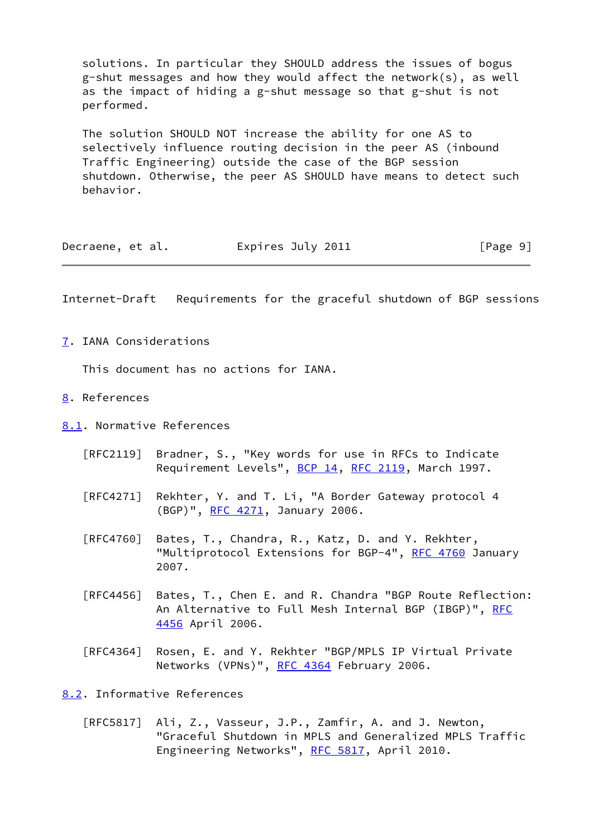solutions. In particular they SHOULD address the issues of bogus g-shut messages and how they would affect the network(s), as well as the impact of hiding a g-shut message so that g-shut is not performed.

 The solution SHOULD NOT increase the ability for one AS to selectively influence routing decision in the peer AS (inbound Traffic Engineering) outside the case of the BGP session shutdown. Otherwise, the peer AS SHOULD have means to detect such behavior.

| Decraene, et al. | Expires July 2011 | [Page 9] |
|------------------|-------------------|----------|
|------------------|-------------------|----------|

<span id="page-10-1"></span>Internet-Draft Requirements for the graceful shutdown of BGP sessions

<span id="page-10-0"></span>[7](#page-10-0). IANA Considerations

This document has no actions for IANA.

- <span id="page-10-2"></span>[8](#page-10-2). References
- <span id="page-10-3"></span>[8.1](#page-10-3). Normative References
	- [RFC2119] Bradner, S., "Key words for use in RFCs to Indicate Requirement Levels", [BCP 14](https://datatracker.ietf.org/doc/pdf/bcp14), [RFC 2119](https://datatracker.ietf.org/doc/pdf/rfc2119), March 1997.
	- [RFC4271] Rekhter, Y. and T. Li, "A Border Gateway protocol 4 (BGP)", [RFC 4271,](https://datatracker.ietf.org/doc/pdf/rfc4271) January 2006.
	- [RFC4760] Bates, T., Chandra, R., Katz, D. and Y. Rekhter, "Multiprotocol Extensions for BGP-4", [RFC 4760](https://datatracker.ietf.org/doc/pdf/rfc4760) January 2007.
	- [RFC4456] Bates, T., Chen E. and R. Chandra "BGP Route Reflection: An Alternative to Full Mesh Internal BGP (IBGP)", [RFC](https://datatracker.ietf.org/doc/pdf/rfc4456) [4456](https://datatracker.ietf.org/doc/pdf/rfc4456) April 2006.
	- [RFC4364] Rosen, E. and Y. Rekhter "BGP/MPLS IP Virtual Private Networks (VPNs)", [RFC 4364](https://datatracker.ietf.org/doc/pdf/rfc4364) February 2006.

<span id="page-10-4"></span>[8.2](#page-10-4). Informative References

 [RFC5817] Ali, Z., Vasseur, J.P., Zamfir, A. and J. Newton, "Graceful Shutdown in MPLS and Generalized MPLS Traffic Engineering Networks", [RFC 5817](https://datatracker.ietf.org/doc/pdf/rfc5817), April 2010.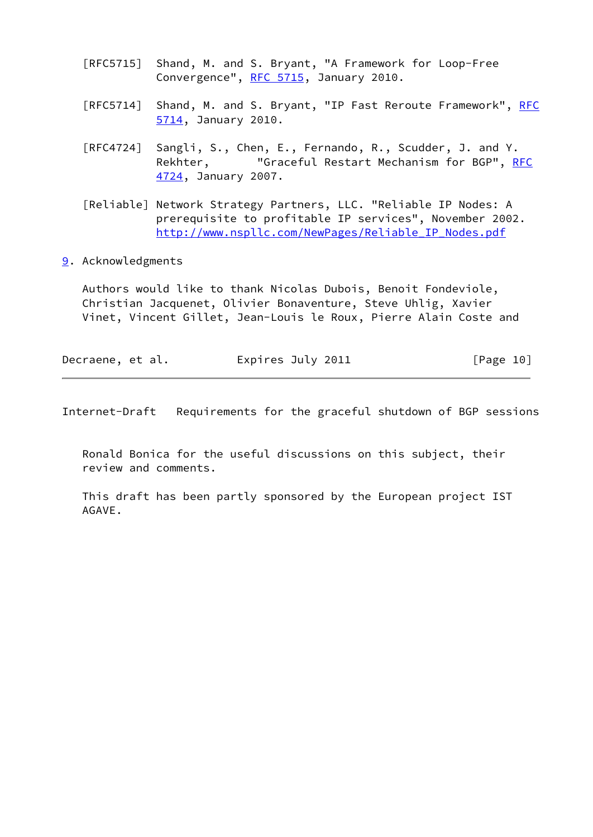- [RFC5715] Shand, M. and S. Bryant, "A Framework for Loop-Free Convergence", [RFC 5715](https://datatracker.ietf.org/doc/pdf/rfc5715), January 2010.
- [RFC5714] Shand, M. and S. Bryant, "IP Fast Reroute Framework", [RFC](https://datatracker.ietf.org/doc/pdf/rfc5714) [5714,](https://datatracker.ietf.org/doc/pdf/rfc5714) January 2010.
- [RFC4724] Sangli, S., Chen, E., Fernando, R., Scudder, J. and Y. Rekhter, "Graceful Restart Mechanism for BGP", [RFC](https://datatracker.ietf.org/doc/pdf/rfc4724) [4724,](https://datatracker.ietf.org/doc/pdf/rfc4724) January 2007.
- <span id="page-11-1"></span> [Reliable] Network Strategy Partners, LLC. "Reliable IP Nodes: A prerequisite to profitable IP services", November 2002. [http://www.nspllc.com/NewPages/Reliable\\_IP\\_Nodes.pdf](http://www.nspllc.com/NewPages/Reliable_IP_Nodes.pdf)
- <span id="page-11-0"></span>[9](#page-11-0). Acknowledgments

 Authors would like to thank Nicolas Dubois, Benoit Fondeviole, Christian Jacquenet, Olivier Bonaventure, Steve Uhlig, Xavier Vinet, Vincent Gillet, Jean-Louis le Roux, Pierre Alain Coste and

| Decraene, et al. | Expires July 2011 | [Page 10] |
|------------------|-------------------|-----------|
|------------------|-------------------|-----------|

Internet-Draft Requirements for the graceful shutdown of BGP sessions

 Ronald Bonica for the useful discussions on this subject, their review and comments.

 This draft has been partly sponsored by the European project IST AGAVE.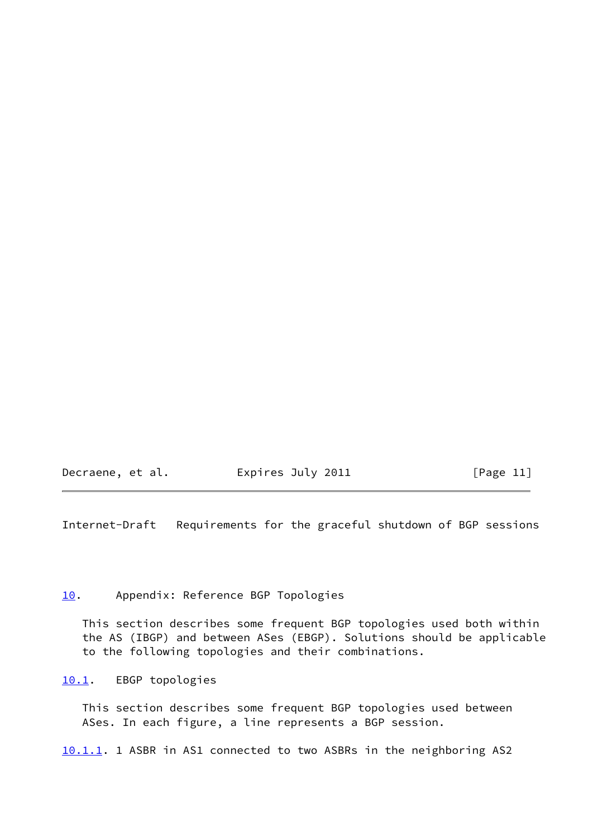Decraene, et al. Expires July 2011 [Page 11]

<span id="page-12-1"></span>Internet-Draft Requirements for the graceful shutdown of BGP sessions

# <span id="page-12-0"></span>[10.](#page-12-0) Appendix: Reference BGP Topologies

 This section describes some frequent BGP topologies used both within the AS (IBGP) and between ASes (EBGP). Solutions should be applicable to the following topologies and their combinations.

<span id="page-12-2"></span>[10.1](#page-12-2). EBGP topologies

 This section describes some frequent BGP topologies used between ASes. In each figure, a line represents a BGP session.

<span id="page-12-3"></span>[10.1.1](#page-12-3). 1 ASBR in AS1 connected to two ASBRs in the neighboring AS2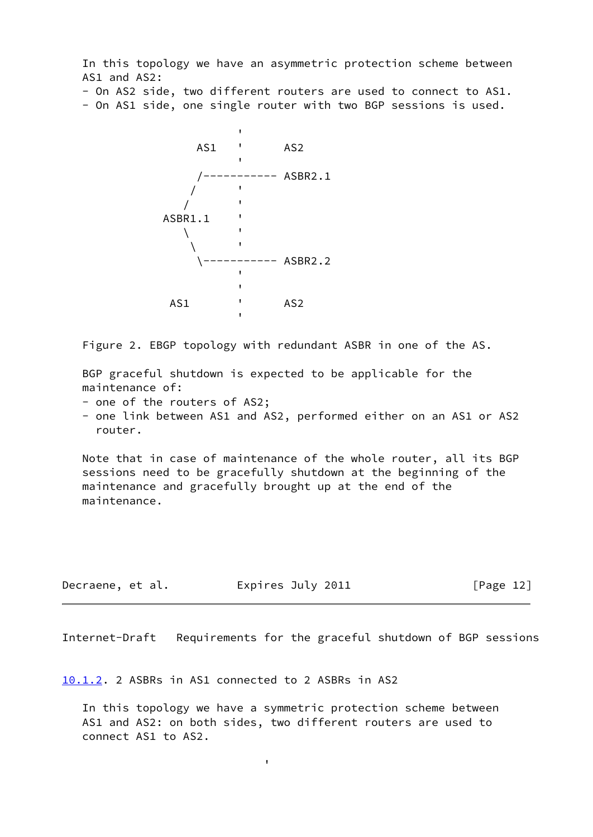In this topology we have an asymmetric protection scheme between AS1 and AS2:

- On AS2 side, two different routers are used to connect to AS1.

- On AS1 side, one single router with two BGP sessions is used.



Figure 2. EBGP topology with redundant ASBR in one of the AS.

 BGP graceful shutdown is expected to be applicable for the maintenance of:

- one of the routers of AS2;

 - one link between AS1 and AS2, performed either on an AS1 or AS2 router.

 Note that in case of maintenance of the whole router, all its BGP sessions need to be gracefully shutdown at the beginning of the maintenance and gracefully brought up at the end of the maintenance.

| Decraene, et al. | Expires July 2011 | [Page 12] |
|------------------|-------------------|-----------|
|------------------|-------------------|-----------|

Internet-Draft Requirements for the graceful shutdown of BGP sessions

<span id="page-13-0"></span>[10.1.2](#page-13-0). 2 ASBRs in AS1 connected to 2 ASBRs in AS2

and the contract of the contract of the contract of the contract of the contract of the contract of the contract of

 In this topology we have a symmetric protection scheme between AS1 and AS2: on both sides, two different routers are used to connect AS1 to AS2.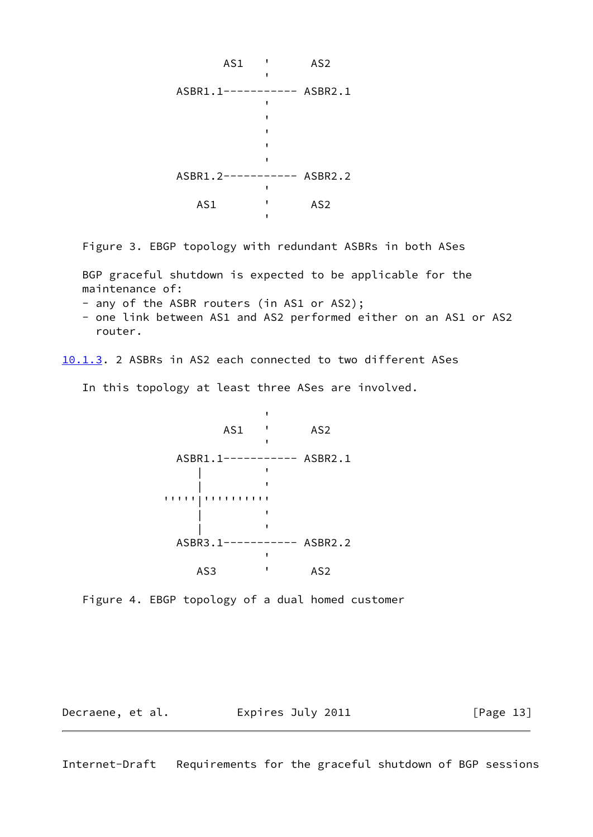

Figure 3. EBGP topology with redundant ASBRs in both ASes

 BGP graceful shutdown is expected to be applicable for the maintenance of:

- any of the ASBR routers (in AS1 or AS2);

 - one link between AS1 and AS2 performed either on an AS1 or AS2 router.

<span id="page-14-1"></span>[10.1.3](#page-14-1). 2 ASBRs in AS2 each connected to two different ASes

In this topology at least three ASes are involved.



Figure 4. EBGP topology of a dual homed customer

Decraene, et al. **Expires July 2011**[Page 13]

<span id="page-14-0"></span>Internet-Draft Requirements for the graceful shutdown of BGP sessions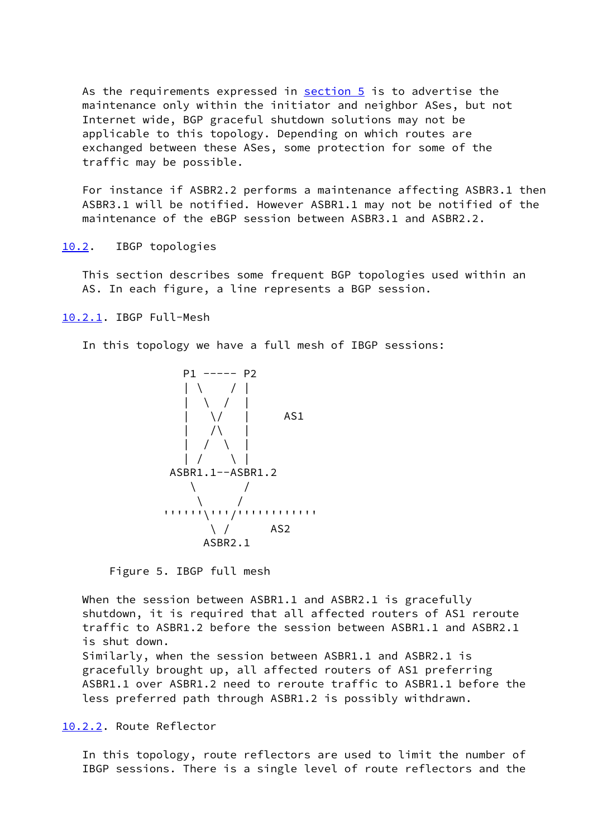As the requirements expressed in [section 5](#page-7-0) is to advertise the maintenance only within the initiator and neighbor ASes, but not Internet wide, BGP graceful shutdown solutions may not be applicable to this topology. Depending on which routes are exchanged between these ASes, some protection for some of the traffic may be possible.

 For instance if ASBR2.2 performs a maintenance affecting ASBR3.1 then ASBR3.1 will be notified. However ASBR1.1 may not be notified of the maintenance of the eBGP session between ASBR3.1 and ASBR2.2.

<span id="page-15-0"></span>[10.2](#page-15-0). IBGP topologies

 This section describes some frequent BGP topologies used within an AS. In each figure, a line represents a BGP session.

<span id="page-15-1"></span>[10.2.1](#page-15-1). IBGP Full-Mesh

In this topology we have a full mesh of IBGP sessions:



Figure 5. IBGP full mesh

When the session between ASBR1.1 and ASBR2.1 is gracefully shutdown, it is required that all affected routers of AS1 reroute traffic to ASBR1.2 before the session between ASBR1.1 and ASBR2.1 is shut down. Similarly, when the session between ASBR1.1 and ASBR2.1 is gracefully brought up, all affected routers of AS1 preferring ASBR1.1 over ASBR1.2 need to reroute traffic to ASBR1.1 before the

less preferred path through ASBR1.2 is possibly withdrawn.

<span id="page-15-2"></span>[10.2.2](#page-15-2). Route Reflector

 In this topology, route reflectors are used to limit the number of IBGP sessions. There is a single level of route reflectors and the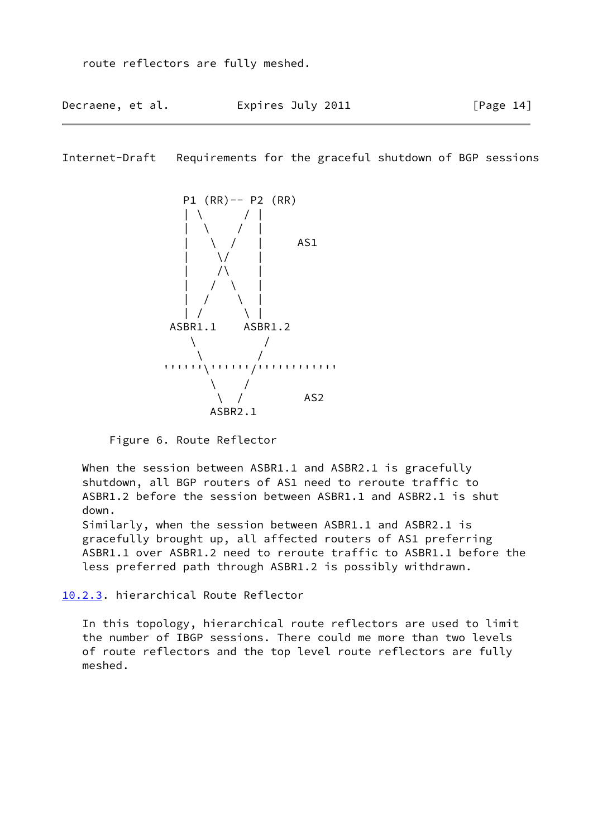Decraene, et al. **Expires July 2011**[Page 14]

Internet-Draft Requirements for the graceful shutdown of BGP sessions



Figure 6. Route Reflector

 When the session between ASBR1.1 and ASBR2.1 is gracefully shutdown, all BGP routers of AS1 need to reroute traffic to ASBR1.2 before the session between ASBR1.1 and ASBR2.1 is shut down.

 Similarly, when the session between ASBR1.1 and ASBR2.1 is gracefully brought up, all affected routers of AS1 preferring ASBR1.1 over ASBR1.2 need to reroute traffic to ASBR1.1 before the less preferred path through ASBR1.2 is possibly withdrawn.

<span id="page-16-0"></span>[10.2.3](#page-16-0). hierarchical Route Reflector

 In this topology, hierarchical route reflectors are used to limit the number of IBGP sessions. There could me more than two levels of route reflectors and the top level route reflectors are fully meshed.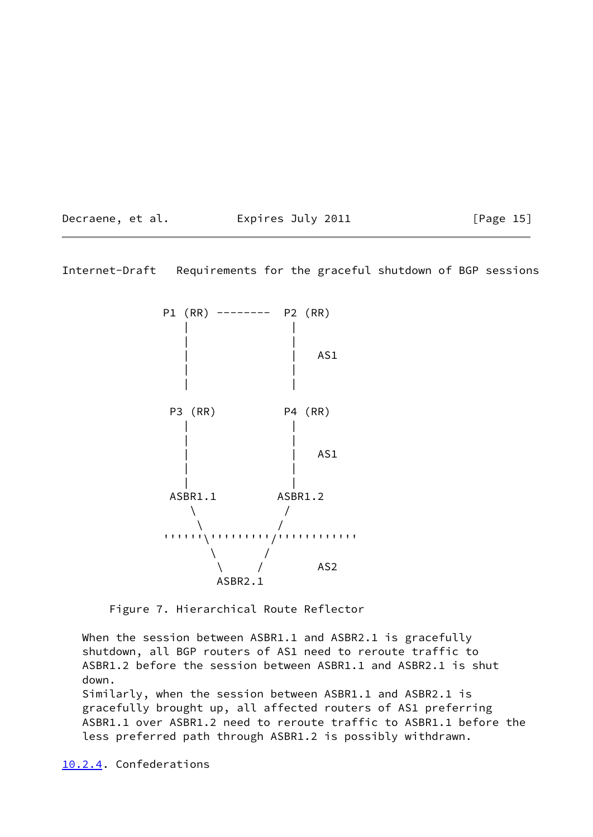Decraene, et al. 
Expires July 2011  $[Page 15]$ 

Internet-Draft Requirements for the graceful shutdown of BGP sessions



Figure 7. Hierarchical Route Reflector

 When the session between ASBR1.1 and ASBR2.1 is gracefully shutdown, all BGP routers of AS1 need to reroute traffic to ASBR1.2 before the session between ASBR1.1 and ASBR2.1 is shut down.

 Similarly, when the session between ASBR1.1 and ASBR2.1 is gracefully brought up, all affected routers of AS1 preferring ASBR1.1 over ASBR1.2 need to reroute traffic to ASBR1.1 before the less preferred path through ASBR1.2 is possibly withdrawn.

<span id="page-17-0"></span>[10.2.4](#page-17-0). Confederations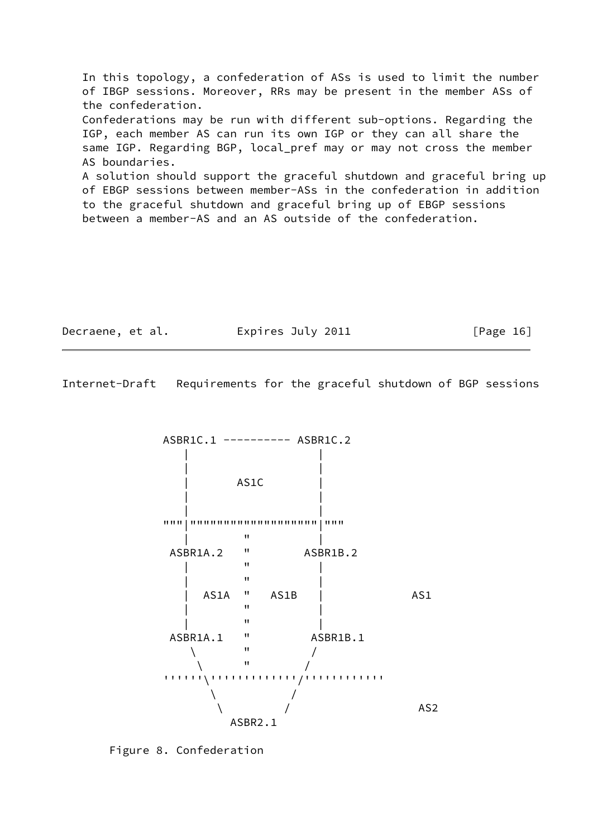In this topology, a confederation of ASs is used to limit the number of IBGP sessions. Moreover, RRs may be present in the member ASs of the confederation. Confederations may be run with different sub-options. Regarding the IGP, each member AS can run its own IGP or they can all share the same IGP. Regarding BGP, local pref may or may not cross the member AS boundaries. A solution should support the graceful shutdown and graceful bring up of EBGP sessions between member-ASs in the confederation in addition to the graceful shutdown and graceful bring up of EBGP sessions between a member-AS and an AS outside of the confederation.

| Decraene, et al. | Expires July 2011 | [Page 16] |
|------------------|-------------------|-----------|
|                  |                   |           |

<span id="page-18-0"></span>Internet-Draft Requirements for the graceful shutdown of BGP sessions



Figure 8. Confederation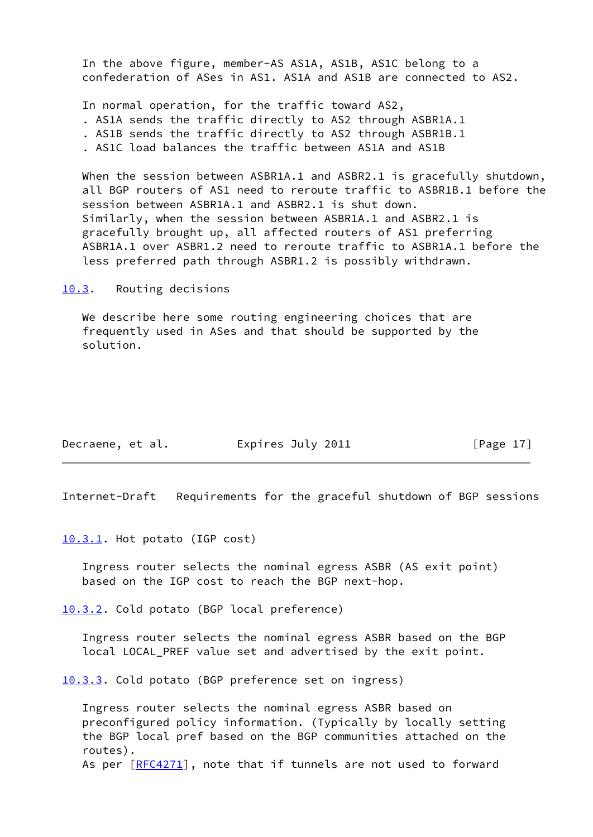In the above figure, member-AS AS1A, AS1B, AS1C belong to a confederation of ASes in AS1. AS1A and AS1B are connected to AS2.

In normal operation, for the traffic toward AS2,

- . AS1A sends the traffic directly to AS2 through ASBR1A.1
- . AS1B sends the traffic directly to AS2 through ASBR1B.1
- . AS1C load balances the traffic between AS1A and AS1B

 When the session between ASBR1A.1 and ASBR2.1 is gracefully shutdown, all BGP routers of AS1 need to reroute traffic to ASBR1B.1 before the session between ASBR1A.1 and ASBR2.1 is shut down. Similarly, when the session between ASBR1A.1 and ASBR2.1 is gracefully brought up, all affected routers of AS1 preferring ASBR1A.1 over ASBR1.2 need to reroute traffic to ASBR1A.1 before the less preferred path through ASBR1.2 is possibly withdrawn.

<span id="page-19-0"></span>[10.3](#page-19-0). Routing decisions

 We describe here some routing engineering choices that are frequently used in ASes and that should be supported by the solution.

| Decraene, et al. | Expires July 2011 | [Page 17] |
|------------------|-------------------|-----------|
|------------------|-------------------|-----------|

Internet-Draft Requirements for the graceful shutdown of BGP sessions

<span id="page-19-1"></span>[10.3.1](#page-19-1). Hot potato (IGP cost)

 Ingress router selects the nominal egress ASBR (AS exit point) based on the IGP cost to reach the BGP next-hop.

<span id="page-19-2"></span>[10.3.2](#page-19-2). Cold potato (BGP local preference)

 Ingress router selects the nominal egress ASBR based on the BGP local LOCAL\_PREF value set and advertised by the exit point.

<span id="page-19-3"></span>[10.3.3](#page-19-3). Cold potato (BGP preference set on ingress)

 Ingress router selects the nominal egress ASBR based on preconfigured policy information. (Typically by locally setting the BGP local pref based on the BGP communities attached on the routes). As per [\[RFC4271](https://datatracker.ietf.org/doc/pdf/rfc4271)], note that if tunnels are not used to forward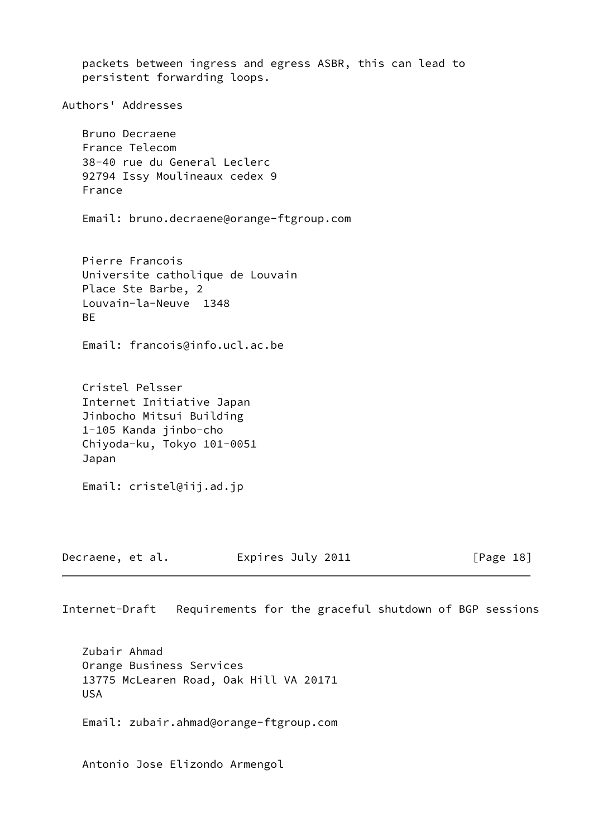packets between ingress and egress ASBR, this can lead to persistent forwarding loops. Authors' Addresses Bruno Decraene France Telecom 38-40 rue du General Leclerc 92794 Issy Moulineaux cedex 9 France Email: bruno.decraene@orange-ftgroup.com Pierre Francois Universite catholique de Louvain Place Ste Barbe, 2 Louvain-la-Neuve 1348 **BF**  Email: francois@info.ucl.ac.be Cristel Pelsser Internet Initiative Japan Jinbocho Mitsui Building 1-105 Kanda jinbo-cho Chiyoda-ku, Tokyo 101-0051 Japan Email: cristel@iij.ad.jp Decraene, et al. Expires July 2011 [Page 18]

Internet-Draft Requirements for the graceful shutdown of BGP sessions

 Zubair Ahmad Orange Business Services 13775 McLearen Road, Oak Hill VA 20171 USA

Email: zubair.ahmad@orange-ftgroup.com

Antonio Jose Elizondo Armengol